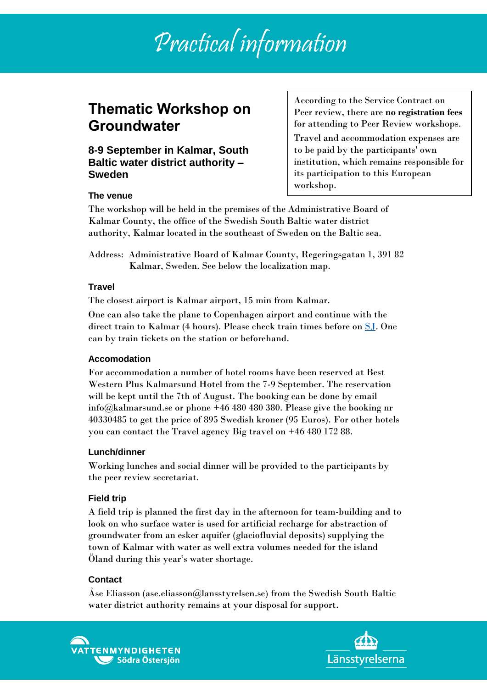# Practical information

# **Thematic Workshop on Groundwater**

**8-9 September in Kalmar, South Baltic water district authority – Sweden**

According to the Service Contract on Peer review, there are **no registration fees** for attending to Peer Review workshops.

Travel and accommodation expenses are to be paid by the participants' own institution, which remains responsible for its participation to this European workshop.

#### **The venue**

The workshop will be held in the premises of the Administrative Board of Kalmar County, the office of the Swedish South Baltic water district authority, Kalmar located in the southeast of Sweden on the Baltic sea.

Address: Administrative Board of Kalmar County, Regeringsgatan 1, 391 82 Kalmar, Sweden. See below the localization map.

#### **Travel**

The closest airport is Kalmar airport, 15 min from Kalmar.

One can also take the plane to Copenhagen airport and continue with the direct train to Kalmar (4 hours). Please check train times before on [SJ.](https://www.sj.se/en/home.html#/) One can by train tickets on the station or beforehand.

#### **Accomodation**

For accommodation a number of hotel rooms have been reserved at Best Western Plus Kalmarsund Hotel from the 7-9 September. The reservation will be kept until the 7th of August. The booking can be done by email info@kalmarsund.se or phone +46 480 480 380. Please give the booking nr 40330485 to get the price of 895 Swedish kroner (95 Euros). For other hotels you can contact the Travel agency Big travel on +46 480 172 88.

#### **Lunch/dinner**

Working lunches and social dinner will be provided to the participants by the peer review secretariat.

#### **Field trip**

A field trip is planned the first day in the afternoon for team-building and to look on who surface water is used for artificial recharge for abstraction of groundwater from an esker aquifer (glaciofluvial deposits) supplying the town of Kalmar with water as well extra volumes needed for the island Öland during this year's water shortage.

## **Contact**

Åse Eliasson (ase.eliasson@lansstyrelsen.se) from the Swedish South Baltic water district authority remains at your disposal for support.